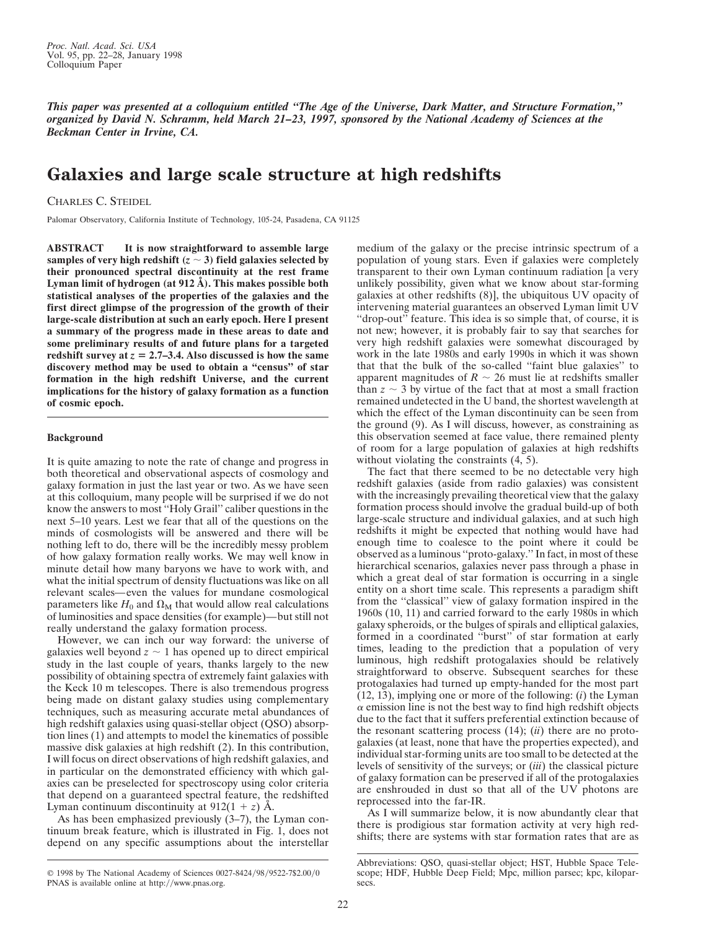*This paper was presented at a colloquium entitled ''The Age of the Universe, Dark Matter, and Structure Formation,'' organized by David N. Schramm, held March 21–23, 1997, sponsored by the National Academy of Sciences at the Beckman Center in Irvine, CA.*

# **Galaxies and large scale structure at high redshifts**

CHARLES C. STEIDEL

Palomar Observatory, California Institute of Technology, 105-24, Pasadena, CA 91125

**ABSTRACT It is now straightforward to assemble large** samples of very high redshift  $(z \sim 3)$  field galaxies selected by **their pronounced spectral discontinuity at the rest frame Lyman limit of hydrogen (at 912 Å). This makes possible both statistical analyses of the properties of the galaxies and the first direct glimpse of the progression of the growth of their large-scale distribution at such an early epoch. Here I present a summary of the progress made in these areas to date and some preliminary results of and future plans for a targeted** redshift survey at  $z = 2.7-3.4$ . Also discussed is how the same **discovery method may be used to obtain a ''census'' of star formation in the high redshift Universe, and the current implications for the history of galaxy formation as a function of cosmic epoch.**

## **Background**

It is quite amazing to note the rate of change and progress in both theoretical and observational aspects of cosmology and galaxy formation in just the last year or two. As we have seen at this colloquium, many people will be surprised if we do not know the answers to most ''Holy Grail'' caliber questions in the next 5–10 years. Lest we fear that all of the questions on the minds of cosmologists will be answered and there will be nothing left to do, there will be the incredibly messy problem of how galaxy formation really works. We may well know in minute detail how many baryons we have to work with, and what the initial spectrum of density fluctuations was like on all relevant scales—even the values for mundane cosmological parameters like  $H_0$  and  $\Omega_M$  that would allow real calculations of luminosities and space densities (for example)—but still not really understand the galaxy formation process.

However, we can inch our way forward: the universe of galaxies well beyond  $z \sim 1$  has opened up to direct empirical study in the last couple of years, thanks largely to the new possibility of obtaining spectra of extremely faint galaxies with the Keck 10 m telescopes. There is also tremendous progress being made on distant galaxy studies using complementary techniques, such as measuring accurate metal abundances of high redshift galaxies using quasi-stellar object (QSO) absorption lines (1) and attempts to model the kinematics of possible massive disk galaxies at high redshift (2). In this contribution, I will focus on direct observations of high redshift galaxies, and in particular on the demonstrated efficiency with which galaxies can be preselected for spectroscopy using color criteria that depend on a guaranteed spectral feature, the redshifted Lyman continuum discontinuity at  $912(1 + z)$  Å.

As has been emphasized previously (3–7), the Lyman continuum break feature, which is illustrated in Fig. 1, does not depend on any specific assumptions about the interstellar

© 1998 by The National Academy of Sciences 0027-8424/98/9522-7\$2.00/0 PNAS is available online at http://www.pnas.org.

medium of the galaxy or the precise intrinsic spectrum of a population of young stars. Even if galaxies were completely transparent to their own Lyman continuum radiation [a very unlikely possibility, given what we know about star-forming galaxies at other redshifts (8)], the ubiquitous UV opacity of intervening material guarantees an observed Lyman limit UV ''drop-out'' feature. This idea is so simple that, of course, it is not new; however, it is probably fair to say that searches for very high redshift galaxies were somewhat discouraged by work in the late 1980s and early 1990s in which it was shown that that the bulk of the so-called ''faint blue galaxies'' to apparent magnitudes of  $R \sim 26$  must lie at redshifts smaller than  $z \sim 3$  by virtue of the fact that at most a small fraction remained undetected in the U band, the shortest wavelength at which the effect of the Lyman discontinuity can be seen from the ground (9). As I will discuss, however, as constraining as this observation seemed at face value, there remained plenty of room for a large population of galaxies at high redshifts without violating the constraints (4, 5).

The fact that there seemed to be no detectable very high redshift galaxies (aside from radio galaxies) was consistent with the increasingly prevailing theoretical view that the galaxy formation process should involve the gradual build-up of both large-scale structure and individual galaxies, and at such high redshifts it might be expected that nothing would have had enough time to coalesce to the point where it could be observed as a luminous ''proto-galaxy.'' In fact, in most of these hierarchical scenarios, galaxies never pass through a phase in which a great deal of star formation is occurring in a single entity on a short time scale. This represents a paradigm shift from the ''classical'' view of galaxy formation inspired in the 1960s (10, 11) and carried forward to the early 1980s in which galaxy spheroids, or the bulges of spirals and elliptical galaxies, formed in a coordinated ''burst'' of star formation at early times, leading to the prediction that a population of very luminous, high redshift protogalaxies should be relatively straightforward to observe. Subsequent searches for these protogalaxies had turned up empty-handed for the most part (12, 13), implying one or more of the following: (*i*) the Lyman  $\alpha$  emission line is not the best way to find high redshift objects due to the fact that it suffers preferential extinction because of the resonant scattering process (14); (*ii*) there are no protogalaxies (at least, none that have the properties expected), and individual star-forming units are too small to be detected at the levels of sensitivity of the surveys; or (*iii*) the classical picture of galaxy formation can be preserved if all of the protogalaxies are enshrouded in dust so that all of the UV photons are reprocessed into the far-IR.

As I will summarize below, it is now abundantly clear that there is prodigious star formation activity at very high redshifts; there are systems with star formation rates that are as

Abbreviations: QSO, quasi-stellar object; HST, Hubble Space Telescope; HDF, Hubble Deep Field; Mpc, million parsec; kpc, kiloparsecs.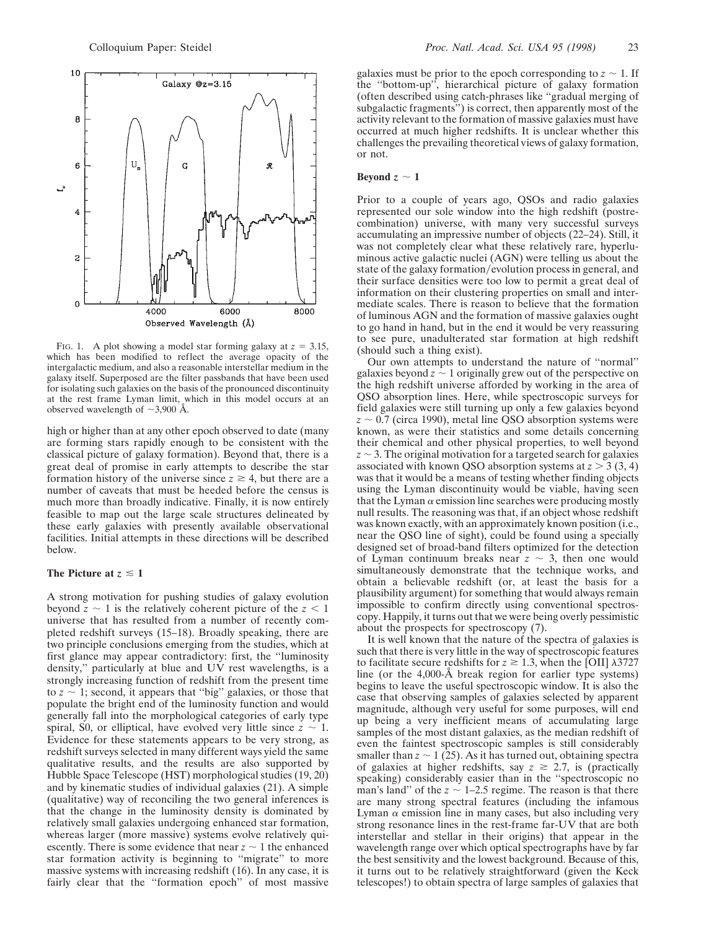

FIG. 1. A plot showing a model star forming galaxy at  $z = 3.15$ , which has been modified to reflect the average opacity of the intergalactic medium, and also a reasonable interstellar medium in the galaxy itself. Superposed are the filter passbands that have been used for isolating such galaxies on the basis of the pronounced discontinuity at the rest frame Lyman limit, which in this model occurs at an observed wavelength of  $\sim$ 3,900 Å.

high or higher than at any other epoch observed to date (many are forming stars rapidly enough to be consistent with the classical picture of galaxy formation). Beyond that, there is a great deal of promise in early attempts to describe the star formation history of the universe since  $z \ge 4$ , but there are a number of caveats that must be heeded before the census is much more than broadly indicative. Finally, it is now entirely feasible to map out the large scale structures delineated by these early galaxies with presently available observational facilities. Initial attempts in these directions will be described below.

## The Picture at  $z \leq 1$

A strong motivation for pushing studies of galaxy evolution beyond  $z \sim 1$  is the relatively coherent picture of the  $z \le 1$ universe that has resulted from a number of recently completed redshift surveys (15–18). Broadly speaking, there are two principle conclusions emerging from the studies, which at first glance may appear contradictory: first, the ''luminosity density,'' particularly at blue and UV rest wavelengths, is a strongly increasing function of redshift from the present time to  $z \sim 1$ ; second, it appears that "big" galaxies, or those that populate the bright end of the luminosity function and would generally fall into the morphological categories of early type spiral, S0, or elliptical, have evolved very little since  $z \sim 1$ . Evidence for these statements appears to be very strong, as redshift surveys selected in many different ways yield the same qualitative results, and the results are also supported by Hubble Space Telescope (HST) morphological studies (19, 20) and by kinematic studies of individual galaxies (21). A simple (qualitative) way of reconciling the two general inferences is that the change in the luminosity density is dominated by relatively small galaxies undergoing enhanced star formation, whereas larger (more massive) systems evolve relatively quiescently. There is some evidence that near  $z \sim 1$  the enhanced star formation activity is beginning to ''migrate'' to more massive systems with increasing redshift (16). In any case, it is fairly clear that the ''formation epoch'' of most massive galaxies must be prior to the epoch corresponding to  $z \sim 1$ . If the ''bottom-up'', hierarchical picture of galaxy formation (often described using catch-phrases like ''gradual merging of subgalactic fragments'') is correct, then apparently most of the activity relevant to the formation of massive galaxies must have occurred at much higher redshifts. It is unclear whether this challenges the prevailing theoretical views of galaxy formation, or not.

#### **Beyond**  $z \sim 1$

Prior to a couple of years ago, QSOs and radio galaxies represented our sole window into the high redshift (postrecombination) universe, with many very successful surveys accumulating an impressive number of objects (22–24). Still, it was not completely clear what these relatively rare, hyperluminous active galactic nuclei (AGN) were telling us about the state of the galaxy formation/evolution process in general, and their surface densities were too low to permit a great deal of information on their clustering properties on small and intermediate scales. There is reason to believe that the formation of luminous AGN and the formation of massive galaxies ought to go hand in hand, but in the end it would be very reassuring to see pure, unadulterated star formation at high redshift (should such a thing exist).

Our own attempts to understand the nature of ''normal'' galaxies beyond  $z \sim 1$  originally grew out of the perspective on the high redshift universe afforded by working in the area of QSO absorption lines. Here, while spectroscopic surveys for field galaxies were still turning up only a few galaxies beyond  $z \sim 0.7$  (circa 1990), metal line QSO absorption systems were known, as were their statistics and some details concerning their chemical and other physical properties, to well beyond  $z \sim$  3. The original motivation for a targeted search for galaxies associated with known QSO absorption systems at  $z > 3$  (3, 4) was that it would be a means of testing whether finding objects using the Lyman discontinuity would be viable, having seen that the Lyman  $\alpha$  emission line searches were producing mostly null results. The reasoning was that, if an object whose redshift was known exactly, with an approximately known position (i.e., near the QSO line of sight), could be found using a specially designed set of broad-band filters optimized for the detection of Lyman continuum breaks near  $z \sim 3$ , then one would simultaneously demonstrate that the technique works, and obtain a believable redshift (or, at least the basis for a plausibility argument) for something that would always remain impossible to confirm directly using conventional spectroscopy. Happily, it turns out that we were being overly pessimistic about the prospects for spectroscopy (7).

It is well known that the nature of the spectra of galaxies is such that there is very little in the way of spectroscopic features to facilitate secure redshifts for  $z \ge 1.3$ , when the [OII]  $\lambda$ 3727 line (or the 4,000-Å break region for earlier type systems) begins to leave the useful spectroscopic window. It is also the case that observing samples of galaxies selected by apparent magnitude, although very useful for some purposes, will end up being a very inefficient means of accumulating large samples of the most distant galaxies, as the median redshift of even the faintest spectroscopic samples is still considerably smaller than  $z \sim 1$  (25). As it has turned out, obtaining spectra of galaxies at higher redshifts, say  $z \ge 2.7$ , is (practically speaking) considerably easier than in the ''spectroscopic no man's land" of the  $z \sim 1-2.5$  regime. The reason is that there are many strong spectral features (including the infamous Lyman  $\alpha$  emission line in many cases, but also including very strong resonance lines in the rest-frame far-UV that are both interstellar and stellar in their origins) that appear in the wavelength range over which optical spectrographs have by far the best sensitivity and the lowest background. Because of this, it turns out to be relatively straightforward (given the Keck telescopes!) to obtain spectra of large samples of galaxies that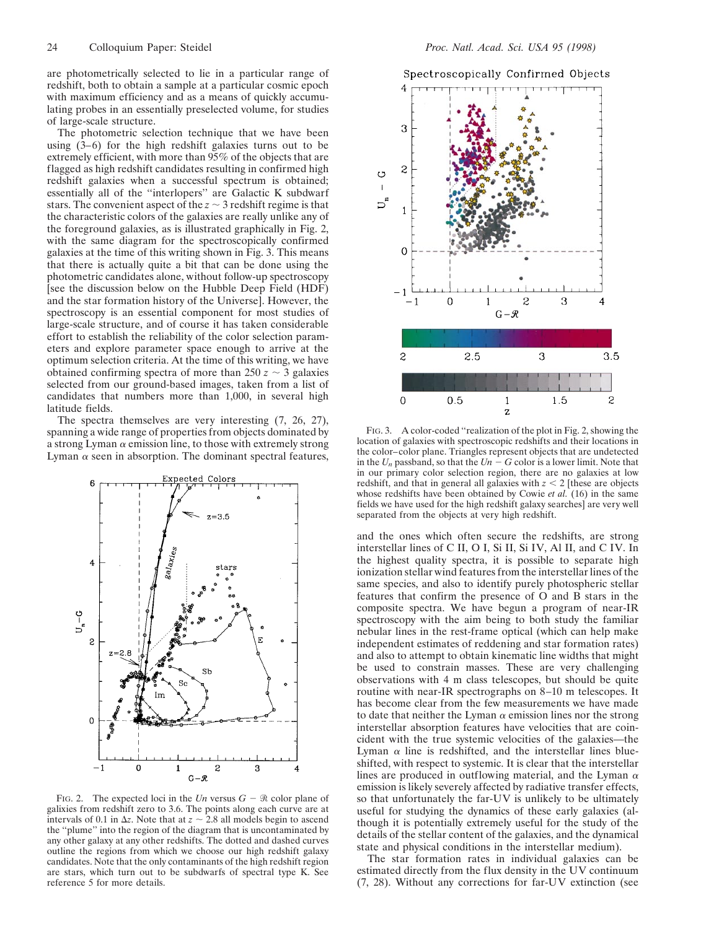are photometrically selected to lie in a particular range of redshift, both to obtain a sample at a particular cosmic epoch with maximum efficiency and as a means of quickly accumulating probes in an essentially preselected volume, for studies of large-scale structure.

The photometric selection technique that we have been using (3–6) for the high redshift galaxies turns out to be extremely efficient, with more than 95% of the objects that are flagged as high redshift candidates resulting in confirmed high redshift galaxies when a successful spectrum is obtained; essentially all of the ''interlopers'' are Galactic K subdwarf stars. The convenient aspect of the  $z \sim 3$  redshift regime is that the characteristic colors of the galaxies are really unlike any of the foreground galaxies, as is illustrated graphically in Fig. 2, with the same diagram for the spectroscopically confirmed galaxies at the time of this writing shown in Fig. 3. This means that there is actually quite a bit that can be done using the photometric candidates alone, without follow-up spectroscopy [see the discussion below on the Hubble Deep Field (HDF) and the star formation history of the Universe]. However, the spectroscopy is an essential component for most studies of large-scale structure, and of course it has taken considerable effort to establish the reliability of the color selection parameters and explore parameter space enough to arrive at the optimum selection criteria. At the time of this writing, we have obtained confirming spectra of more than  $250 z \sim 3$  galaxies selected from our ground-based images, taken from a list of candidates that numbers more than 1,000, in several high latitude fields.

The spectra themselves are very interesting (7, 26, 27), spanning a wide range of properties from objects dominated by a strong Lyman  $\alpha$  emission line, to those with extremely strong Lyman  $\alpha$  seen in absorption. The dominant spectral features,



FIG. 2. The expected loci in the *Un* versus  $G - \Re$  color plane of galixies from redshift zero to 3.6. The points along each curve are at intervals of 0.1 in  $\Delta z$ . Note that at  $z \sim 2.8$  all models begin to ascend the ''plume'' into the region of the diagram that is uncontaminated by any other galaxy at any other redshifts. The dotted and dashed curves outline the regions from which we choose our high redshift galaxy candidates. Note that the only contaminants of the high redshift region are stars, which turn out to be subdwarfs of spectral type K. See reference 5 for more details.





FIG. 3. A color-coded ''realization of the plot in Fig. 2, showing the location of galaxies with spectroscopic redshifts and their locations in the color–color plane. Triangles represent objects that are undetected in the  $U_n$  passband, so that the  $Un - G$  color is a lower limit. Note that in our primary color selection region, there are no galaxies at low redshift, and that in general all galaxies with  $z < 2$  [these are objects whose redshifts have been obtained by Cowie *et al.* (16) in the same fields we have used for the high redshift galaxy searches] are very well separated from the objects at very high redshift.

and the ones which often secure the redshifts, are strong interstellar lines of C II, O I, Si II, Si IV, Al II, and C IV. In the highest quality spectra, it is possible to separate high ionization stellar wind features from the interstellar lines of the same species, and also to identify purely photospheric stellar features that confirm the presence of O and B stars in the composite spectra. We have begun a program of near-IR spectroscopy with the aim being to both study the familiar nebular lines in the rest-frame optical (which can help make independent estimates of reddening and star formation rates) and also to attempt to obtain kinematic line widths that might be used to constrain masses. These are very challenging observations with 4 m class telescopes, but should be quite routine with near-IR spectrographs on 8–10 m telescopes. It has become clear from the few measurements we have made to date that neither the Lyman  $\alpha$  emission lines nor the strong interstellar absorption features have velocities that are coincident with the true systemic velocities of the galaxies—the Lyman  $\alpha$  line is redshifted, and the interstellar lines blueshifted, with respect to systemic. It is clear that the interstellar lines are produced in outflowing material, and the Lyman  $\alpha$ emission is likely severely affected by radiative transfer effects, so that unfortunately the far-UV is unlikely to be ultimately useful for studying the dynamics of these early galaxies (although it is potentially extremely useful for the study of the details of the stellar content of the galaxies, and the dynamical state and physical conditions in the interstellar medium).

The star formation rates in individual galaxies can be estimated directly from the flux density in the UV continuum (7, 28). Without any corrections for far-UV extinction (see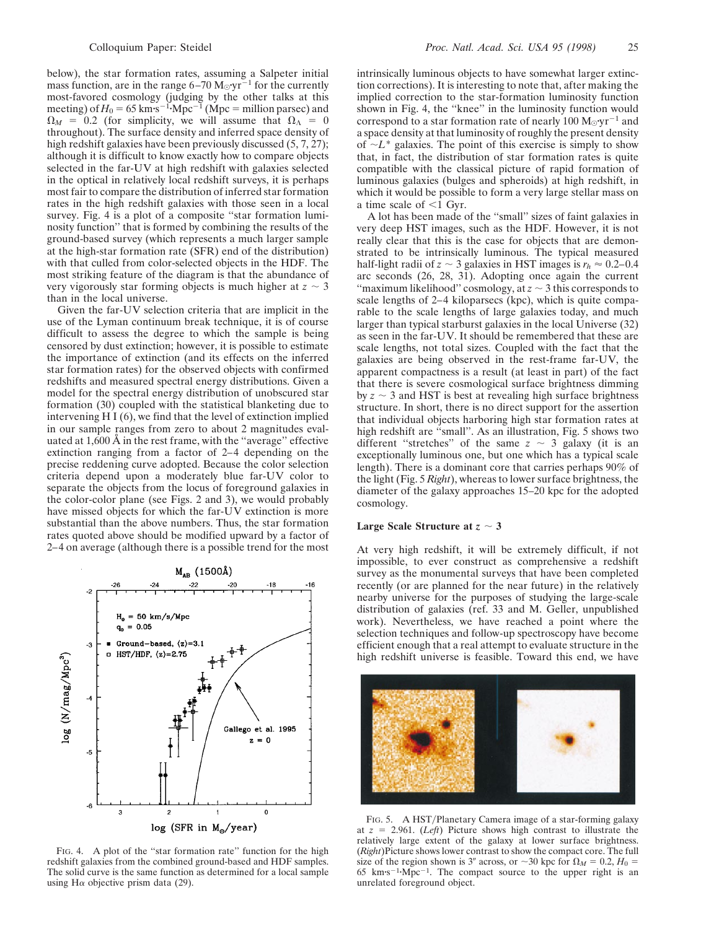below), the star formation rates, assuming a Salpeter initial mass function, are in the range  $6-70$  M<sub> $\odot$ </sub>  $yr^{-1}$  for the currently most-favored cosmology (judging by the other talks at this meeting) of  $H_0 = 65 \text{ km} \cdot \text{s}^{-1} \cdot \text{Mpc}^{-1}$  (Mpc = million parsec) and  $\Omega_M = 0.2$  (for simplicity, we will assume that  $\Omega_{\Lambda} = 0$ throughout). The surface density and inferred space density of high redshift galaxies have been previously discussed (5, 7, 27); although it is difficult to know exactly how to compare objects selected in the far-UV at high redshift with galaxies selected in the optical in relatively local redshift surveys, it is perhaps most fair to compare the distribution of inferred star formation rates in the high redshift galaxies with those seen in a local survey. Fig. 4 is a plot of a composite "star formation luminosity function'' that is formed by combining the results of the ground-based survey (which represents a much larger sample at the high-star formation rate (SFR) end of the distribution) with that culled from color-selected objects in the HDF. The most striking feature of the diagram is that the abundance of very vigorously star forming objects is much higher at  $z \sim 3$ than in the local universe.

Given the far-UV selection criteria that are implicit in the use of the Lyman continuum break technique, it is of course difficult to assess the degree to which the sample is being censored by dust extinction; however, it is possible to estimate the importance of extinction (and its effects on the inferred star formation rates) for the observed objects with confirmed redshifts and measured spectral energy distributions. Given a model for the spectral energy distribution of unobscured star formation (30) coupled with the statistical blanketing due to intervening H I (6), we find that the level of extinction implied in our sample ranges from zero to about 2 magnitudes evaluated at 1,600 Å in the rest frame, with the ''average'' effective extinction ranging from a factor of 2–4 depending on the precise reddening curve adopted. Because the color selection criteria depend upon a moderately blue far-UV color to separate the objects from the locus of foreground galaxies in the color-color plane (see Figs. 2 and 3), we would probably have missed objects for which the far-UV extinction is more substantial than the above numbers. Thus, the star formation rates quoted above should be modified upward by a factor of 2–4 on average (although there is a possible trend for the most



FIG. 4. A plot of the "star formation rate" function for the high redshift galaxies from the combined ground-based and HDF samples. The solid curve is the same function as determined for a local sample using H $\alpha$  objective prism data (29).

intrinsically luminous objects to have somewhat larger extinction corrections). It is interesting to note that, after making the implied correction to the star-formation luminosity function shown in Fig. 4, the ''knee'' in the luminosity function would correspond to a star formation rate of nearly 100  $M_{\odot}$ ·yr<sup>-1</sup> and a space density at that luminosity of roughly the present density of  $\sim L^*$  galaxies. The point of this exercise is simply to show that, in fact, the distribution of star formation rates is quite compatible with the classical picture of rapid formation of luminous galaxies (bulges and spheroids) at high redshift, in which it would be possible to form a very large stellar mass on a time scale of  $\leq 1$  Gyr.

A lot has been made of the ''small'' sizes of faint galaxies in very deep HST images, such as the HDF. However, it is not really clear that this is the case for objects that are demonstrated to be intrinsically luminous. The typical measured half-light radii of  $z \sim 3$  galaxies in HST images is  $r_h \approx 0.2{\text -}0.4$ arc seconds (26, 28, 31). Adopting once again the current "maximum likelihood" cosmology, at  $z \sim 3$  this corresponds to scale lengths of 2–4 kiloparsecs (kpc), which is quite comparable to the scale lengths of large galaxies today, and much larger than typical starburst galaxies in the local Universe (32) as seen in the far-UV. It should be remembered that these are scale lengths, not total sizes. Coupled with the fact that the galaxies are being observed in the rest-frame far-UV, the apparent compactness is a result (at least in part) of the fact that there is severe cosmological surface brightness dimming by  $z \sim 3$  and HST is best at revealing high surface brightness structure. In short, there is no direct support for the assertion that individual objects harboring high star formation rates at high redshift are "small". As an illustration, Fig. 5 shows two different "stretches" of the same  $z \sim 3$  galaxy (it is an exceptionally luminous one, but one which has a typical scale length). There is a dominant core that carries perhaps 90% of the light (Fig. 5 *Right*), whereas to lower surface brightness, the diameter of the galaxy approaches 15–20 kpc for the adopted cosmology.

## **Large Scale Structure at**  $z \sim 3$

At very high redshift, it will be extremely difficult, if not impossible, to ever construct as comprehensive a redshift survey as the monumental surveys that have been completed recently (or are planned for the near future) in the relatively nearby universe for the purposes of studying the large-scale distribution of galaxies (ref. 33 and M. Geller, unpublished work). Nevertheless, we have reached a point where the selection techniques and follow-up spectroscopy have become efficient enough that a real attempt to evaluate structure in the high redshift universe is feasible. Toward this end, we have



FIG. 5. A HST/Planetary Camera image of a star-forming galaxy at  $z = 2.961$ . (*Left*) Picture shows high contrast to illustrate the relatively large extent of the galaxy at lower surface brightness. (*Right*)Picture shows lower contrast to show the compact core. The full size of the region shown is 3<sup>*n*</sup> across, or  $\sim$  30 kpc for  $\Omega_M = 0.2$ ,  $H_0 =$ 65 km·s<sup> $-1$ </sup>·Mpc<sup> $-1$ </sup>. The compact source to the upper right is an unrelated foreground object.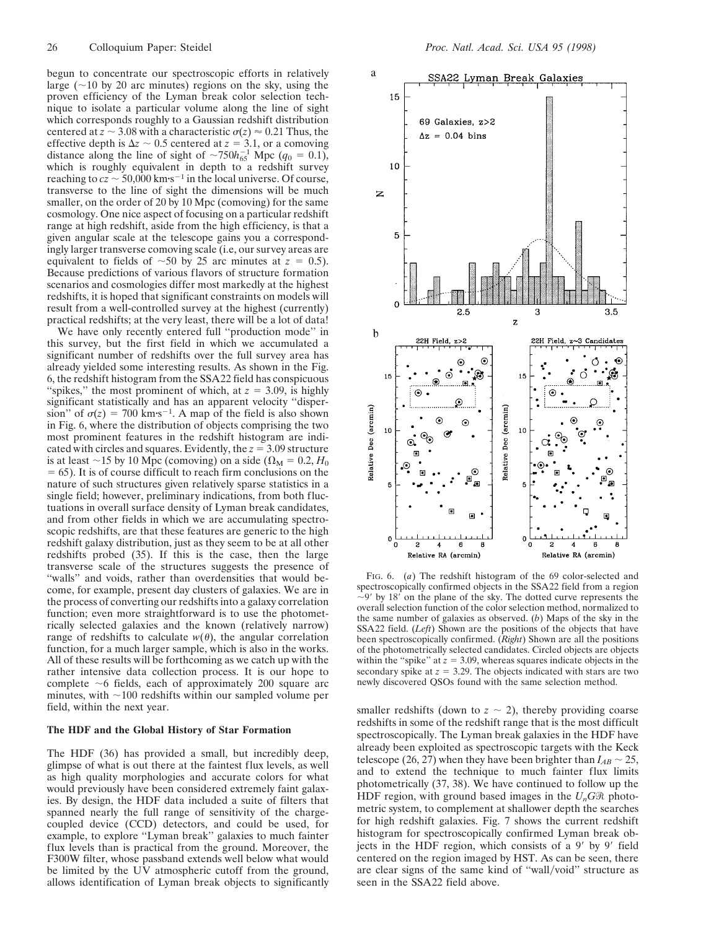begun to concentrate our spectroscopic efforts in relatively large  $(\sim 10$  by 20 arc minutes) regions on the sky, using the proven efficiency of the Lyman break color selection technique to isolate a particular volume along the line of sight which corresponds roughly to a Gaussian redshift distribution centered at  $z \sim 3.08$  with a characteristic  $\sigma(z) \approx 0.21$  Thus, the effective depth is  $\Delta z \sim 0.5$  centered at  $z = 3.1$ , or a comoving distance along the line of sight of  $\sim 750 h_{65}^{-1}$  Mpc ( $q_0 = 0.1$ ), which is roughly equivalent in depth to a redshift survey reaching to  $cz \sim 50,000$  km·s<sup>-1</sup> in the local universe. Of course, transverse to the line of sight the dimensions will be much smaller, on the order of 20 by 10 Mpc (comoving) for the same cosmology. One nice aspect of focusing on a particular redshift range at high redshift, aside from the high efficiency, is that a given angular scale at the telescope gains you a correspondingly larger transverse comoving scale (i.e, our survey areas are equivalent to fields of  $\sim 50$  by 25 arc minutes at  $z = 0.5$ ). Because predictions of various flavors of structure formation scenarios and cosmologies differ most markedly at the highest redshifts, it is hoped that significant constraints on models will result from a well-controlled survey at the highest (currently) practical redshifts; at the very least, there will be a lot of data!

We have only recently entered full ''production mode'' in this survey, but the first field in which we accumulated a significant number of redshifts over the full survey area has already yielded some interesting results. As shown in the Fig. 6, the redshift histogram from the SSA22 field has conspicuous "spikes," the most prominent of which, at  $z = 3.09$ , is highly significant statistically and has an apparent velocity ''dispersion" of  $\sigma(z) = 700 \text{ km} \cdot \text{s}^{-1}$ . A map of the field is also shown in Fig. 6, where the distribution of objects comprising the two most prominent features in the redshift histogram are indicated with circles and squares. Evidently, the  $z = 3.09$  structure is at least  $\sim$ 15 by 10 Mpc (comoving) on a side ( $\Omega_M = 0.2$ , *H*<sub>0</sub>  $= 65$ ). It is of course difficult to reach firm conclusions on the nature of such structures given relatively sparse statistics in a single field; however, preliminary indications, from both fluctuations in overall surface density of Lyman break candidates, and from other fields in which we are accumulating spectroscopic redshifts, are that these features are generic to the high redshift galaxy distribution, just as they seem to be at all other redshifts probed (35). If this is the case, then the large transverse scale of the structures suggests the presence of ''walls'' and voids, rather than overdensities that would become, for example, present day clusters of galaxies. We are in the process of converting our redshifts into a galaxy correlation function; even more straightforward is to use the photometrically selected galaxies and the known (relatively narrow) range of redshifts to calculate  $w(\theta)$ , the angular correlation function, for a much larger sample, which is also in the works. All of these results will be forthcoming as we catch up with the rather intensive data collection process. It is our hope to complete  $\sim$ 6 fields, each of approximately 200 square arc minutes, with  $\sim$ 100 redshifts within our sampled volume per field, within the next year.

#### **The HDF and the Global History of Star Formation**

The HDF (36) has provided a small, but incredibly deep, glimpse of what is out there at the faintest flux levels, as well as high quality morphologies and accurate colors for what would previously have been considered extremely faint galaxies. By design, the HDF data included a suite of filters that spanned nearly the full range of sensitivity of the chargecoupled device (CCD) detectors, and could be used, for example, to explore ''Lyman break'' galaxies to much fainter flux levels than is practical from the ground. Moreover, the F300W filter, whose passband extends well below what would be limited by the UV atmospheric cutoff from the ground, allows identification of Lyman break objects to significantly



FIG. 6. (*a*) The redshift histogram of the 69 color-selected and spectroscopically confirmed objects in the SSA22 field from a region  $\sim$ 9' by 18' on the plane of the sky. The dotted curve represents the overall selection function of the color selection method, normalized to the same number of galaxies as observed. (*b*) Maps of the sky in the SSA22 field. (*Left*) Shown are the positions of the objects that have been spectroscopically confirmed. (*Right*) Shown are all the positions of the photometrically selected candidates. Circled objects are objects within the "spike" at  $z = 3.09$ , whereas squares indicate objects in the secondary spike at  $z = 3.29$ . The objects indicated with stars are two newly discovered QSOs found with the same selection method.

smaller redshifts (down to  $z \sim 2$ ), thereby providing coarse redshifts in some of the redshift range that is the most difficult spectroscopically. The Lyman break galaxies in the HDF have already been exploited as spectroscopic targets with the Keck telescope (26, 27) when they have been brighter than  $I_{AB} \sim 25$ , and to extend the technique to much fainter flux limits photometrically (37, 38). We have continued to follow up the HDF region, with ground based images in the  $U_nG\mathcal{R}$  photometric system, to complement at shallower depth the searches for high redshift galaxies. Fig. 7 shows the current redshift histogram for spectroscopically confirmed Lyman break objects in the HDF region, which consists of a  $9'$  by  $9'$  field centered on the region imaged by HST. As can be seen, there are clear signs of the same kind of "wall/void" structure as seen in the SSA22 field above.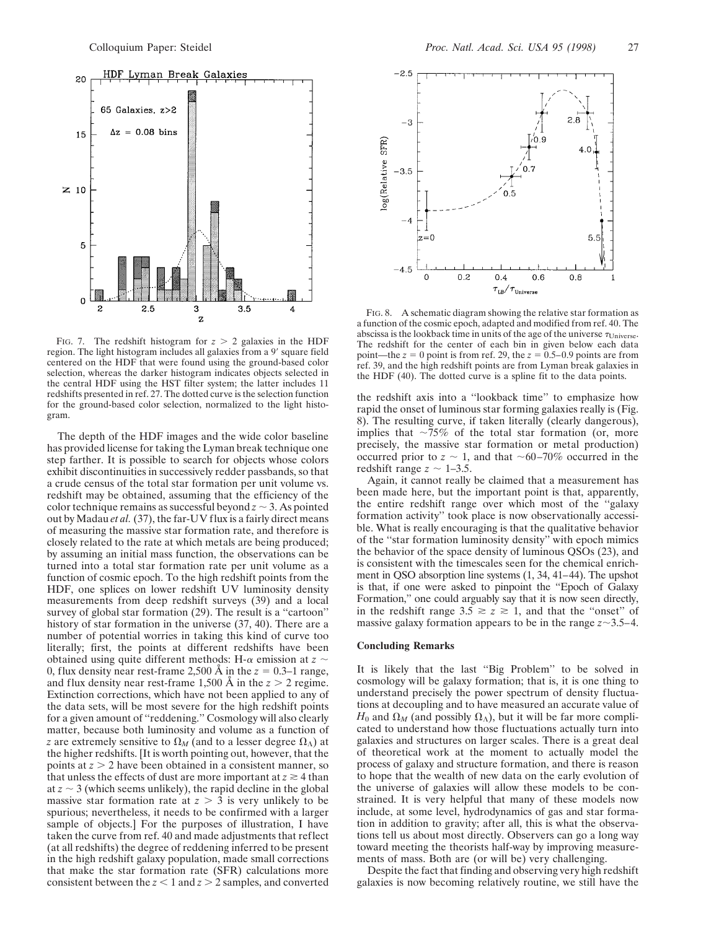

FIG. 7. The redshift histogram for  $z > 2$  galaxies in the HDF region. The light histogram includes all galaxies from a 9' square field centered on the HDF that were found using the ground-based color selection, whereas the darker histogram indicates objects selected in the central HDF using the HST filter system; the latter includes 11 redshifts presented in ref. 27. The dotted curve is the selection function for the ground-based color selection, normalized to the light histogram.

The depth of the HDF images and the wide color baseline has provided license for taking the Lyman break technique one step farther. It is possible to search for objects whose colors exhibit discontinuities in successively redder passbands, so that a crude census of the total star formation per unit volume vs. redshift may be obtained, assuming that the efficiency of the color technique remains as successful beyond  $z \sim 3$ . As pointed out by Madau *et al.* (37), the far-UV flux is a fairly direct means of measuring the massive star formation rate, and therefore is closely related to the rate at which metals are being produced; by assuming an initial mass function, the observations can be turned into a total star formation rate per unit volume as a function of cosmic epoch. To the high redshift points from the HDF, one splices on lower redshift UV luminosity density measurements from deep redshift surveys (39) and a local survey of global star formation (29). The result is a "cartoon" history of star formation in the universe (37, 40). There are a number of potential worries in taking this kind of curve too literally; first, the points at different redshifts have been obtained using quite different methods: H- $\alpha$  emission at  $z \sim$ 0, flux density near rest-frame 2,500 Å in the  $z = 0.3-1$  range, and flux density near rest-frame  $1,500 \text{ Å}$  in the  $z > 2$  regime. Extinction corrections, which have not been applied to any of the data sets, will be most severe for the high redshift points for a given amount of ''reddening.'' Cosmology will also clearly matter, because both luminosity and volume as a function of *z* are extremely sensitive to  $\Omega_M$  (and to a lesser degree  $\Omega_{\Lambda}$ ) at the higher redshifts. [It is worth pointing out, however, that the points at  $z > 2$  have been obtained in a consistent manner, so that unless the effects of dust are more important at  $z \ge 4$  than at  $z \sim 3$  (which seems unlikely), the rapid decline in the global massive star formation rate at  $z > 3$  is very unlikely to be spurious; nevertheless, it needs to be confirmed with a larger sample of objects.] For the purposes of illustration, I have taken the curve from ref. 40 and made adjustments that reflect (at all redshifts) the degree of reddening inferred to be present in the high redshift galaxy population, made small corrections that make the star formation rate (SFR) calculations more consistent between the  $z < 1$  and  $z > 2$  samples, and converted



FIG. 8. A schematic diagram showing the relative star formation as a function of the cosmic epoch, adapted and modified from ref. 40. The abscissa is the lookback time in units of the age of the universe  $\tau_{\text{Universe}}$ . The redshift for the center of each bin in given below each data point—the  $z = 0$  point is from ref. 29, the  $z = 0.5{\text -}0.9$  points are from ref. 39, and the high redshift points are from Lyman break galaxies in the HDF (40). The dotted curve is a spline fit to the data points.

the redshift axis into a ''lookback time'' to emphasize how rapid the onset of luminous star forming galaxies really is (Fig. 8). The resulting curve, if taken literally (clearly dangerous), implies that  $\sim$ 75% of the total star formation (or, more precisely, the massive star formation or metal production) occurred prior to  $z \sim 1$ , and that  $\sim 60-70\%$  occurred in the redshift range  $z \sim 1-3.5$ .

Again, it cannot really be claimed that a measurement has been made here, but the important point is that, apparently, the entire redshift range over which most of the ''galaxy formation activity'' took place is now observationally accessible. What is really encouraging is that the qualitative behavior of the ''star formation luminosity density'' with epoch mimics the behavior of the space density of luminous QSOs (23), and is consistent with the timescales seen for the chemical enrichment in QSO absorption line systems (1, 34, 41–44). The upshot is that, if one were asked to pinpoint the ''Epoch of Galaxy Formation,'' one could arguably say that it is now seen directly, in the redshift range  $3.5 \ge z \ge 1$ , and that the "onset" of massive galaxy formation appears to be in the range  $z \sim 3.5-4$ .

#### **Concluding Remarks**

It is likely that the last ''Big Problem'' to be solved in cosmology will be galaxy formation; that is, it is one thing to understand precisely the power spectrum of density fluctuations at decoupling and to have measured an accurate value of  $H_0$  and  $\Omega_M$  (and possibly  $\Omega_{\Lambda}$ ), but it will be far more complicated to understand how those fluctuations actually turn into galaxies and structures on larger scales. There is a great deal of theoretical work at the moment to actually model the process of galaxy and structure formation, and there is reason to hope that the wealth of new data on the early evolution of the universe of galaxies will allow these models to be constrained. It is very helpful that many of these models now include, at some level, hydrodynamics of gas and star formation in addition to gravity; after all, this is what the observations tell us about most directly. Observers can go a long way toward meeting the theorists half-way by improving measurements of mass. Both are (or will be) very challenging.

Despite the fact that finding and observing very high redshift galaxies is now becoming relatively routine, we still have the